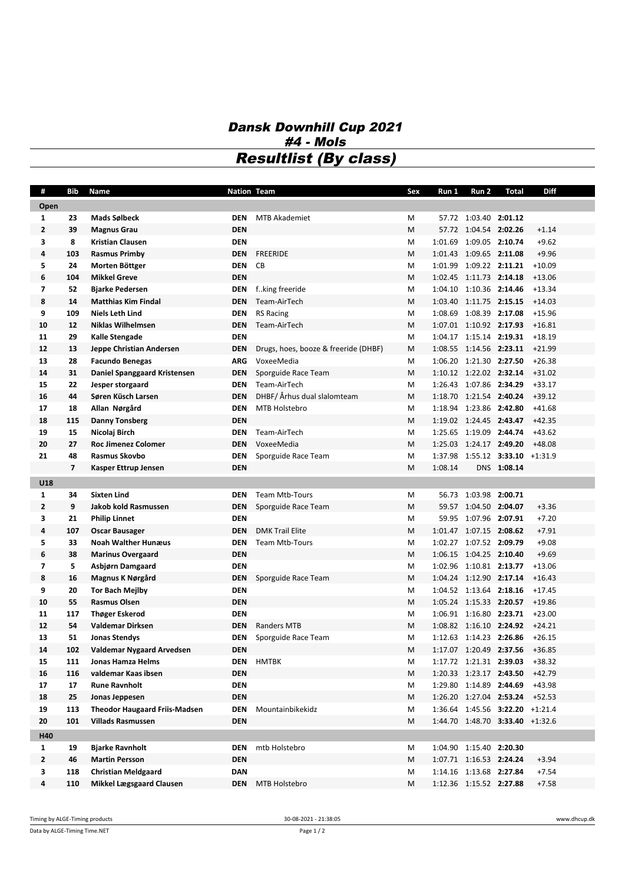## *Dansk Downhill Cup 2021 #4 - Mols Resultlist (By class)*

| #              | Bib                      | Name                                 | <b>Nation Team</b> |                                      | Sex | Run 1                   | Run 2                   | <b>Total</b>                    | <b>Diff</b> |
|----------------|--------------------------|--------------------------------------|--------------------|--------------------------------------|-----|-------------------------|-------------------------|---------------------------------|-------------|
| Open           |                          |                                      |                    |                                      |     |                         |                         |                                 |             |
| $\mathbf{1}$   | 23                       | Mads Sølbeck                         | <b>DEN</b>         | <b>MTB Akademiet</b>                 | M   |                         | 57.72 1:03.40 2:01.12   |                                 |             |
| $\overline{2}$ | 39                       | <b>Magnus Grau</b>                   | <b>DEN</b>         |                                      | M   |                         | 57.72 1:04.54 2:02.26   |                                 | $+1.14$     |
| 3              | 8                        | <b>Kristian Clausen</b>              | <b>DEN</b>         |                                      | M   |                         | 1:01.69 1:09.05 2:10.74 |                                 | $+9.62$     |
| 4              | 103                      | <b>Rasmus Primby</b>                 | <b>DEN</b>         | <b>FREERIDE</b>                      | M   |                         | 1:01.43 1:09.65 2:11.08 |                                 | $+9.96$     |
| 5              | 24                       | Morten Böttger                       | <b>DEN</b>         | CВ                                   | М   |                         | 1:01.99 1:09.22 2:11.21 |                                 | $+10.09$    |
| 6              | 104                      | <b>Mikkel Greve</b>                  | <b>DEN</b>         |                                      | M   |                         | 1:02.45 1:11.73 2:14.18 |                                 | $+13.06$    |
| $\overline{7}$ | 52                       | <b>Bjarke Pedersen</b>               | DEN                | fking freeride                       | М   |                         | 1:04.10 1:10.36 2:14.46 |                                 | $+13.34$    |
| 8              | 14                       | <b>Matthias Kim Findal</b>           | <b>DEN</b>         | Team-AirTech                         | M   |                         | 1:03.40 1:11.75 2:15.15 |                                 | $+14.03$    |
| 9              | 109                      | <b>Niels Leth Lind</b>               | <b>DEN</b>         | <b>RS Racing</b>                     | М   |                         | 1:08.69 1:08.39 2:17.08 |                                 | $+15.96$    |
| 10             | 12                       | <b>Niklas Wilhelmsen</b>             | <b>DEN</b>         | Team-AirTech                         | M   |                         | 1:07.01 1:10.92 2:17.93 |                                 | $+16.81$    |
| 11             | 29                       | Kalle Stengade                       | <b>DEN</b>         |                                      | M   |                         | 1:04.17 1:15.14 2:19.31 |                                 | $+18.19$    |
| 12             | 13                       | Jeppe Christian Andersen             | <b>DEN</b>         | Drugs, hoes, booze & freeride (DHBF) | M   |                         | 1:08.55 1:14.56 2:23.11 |                                 | $+21.99$    |
| 13             | 28                       | <b>Facundo Benegas</b>               | <b>ARG</b>         | VoxeeMedia                           | M   |                         | 1:06.20 1:21.30 2:27.50 |                                 | $+26.38$    |
| 14             | 31                       | Daniel Spanggaard Kristensen         | DEN                | Sporguide Race Team                  | M   |                         | 1:10.12 1:22.02 2:32.14 |                                 | $+31.02$    |
| 15             | 22                       | Jesper storgaard                     | <b>DEN</b>         | Team-AirTech                         | М   |                         | 1:26.43 1:07.86 2:34.29 |                                 | $+33.17$    |
| 16             | 44                       | Søren Küsch Larsen                   | <b>DEN</b>         | DHBF/ Århus dual slalomteam          | M   |                         | 1:18.70 1:21.54 2:40.24 |                                 | $+39.12$    |
| 17             | 18                       | Allan Nørgård                        | <b>DEN</b>         | MTB Holstebro                        | M   |                         | 1:18.94 1:23.86 2:42.80 |                                 | $+41.68$    |
| 18             | 115                      | <b>Danny Tonsberg</b>                | <b>DEN</b>         |                                      | M   |                         | 1:19.02 1:24.45 2:43.47 |                                 | $+42.35$    |
| 19             | 15                       | Nicolaj Birch                        | DEN                | Team-AirTech                         | M   |                         | 1:25.65 1:19.09 2:44.74 |                                 | $+43.62$    |
| 20             | 27                       | <b>Roc Jimenez Colomer</b>           | <b>DEN</b>         | VoxeeMedia                           | M   |                         | 1:25.03 1:24.17 2:49.20 |                                 | $+48.08$    |
| 21             | 48                       | Rasmus Skovbo                        | <b>DEN</b>         | Sporguide Race Team                  | M   |                         |                         | 1:37.98 1:55.12 3:33.10 +1:31.9 |             |
|                | $\overline{\phantom{a}}$ | Kasper Ettrup Jensen                 | <b>DEN</b>         |                                      | M   | 1:08.14                 |                         | DNS 1:08.14                     |             |
| U18            |                          |                                      |                    |                                      |     |                         |                         |                                 |             |
| $\mathbf{1}$   | 34                       | <b>Sixten Lind</b>                   | <b>DEN</b>         | <b>Team Mtb-Tours</b>                | М   |                         | 56.73 1:03.98 2:00.71   |                                 |             |
| $\overline{2}$ | 9                        | Jakob kold Rasmussen                 | <b>DEN</b>         | Sporguide Race Team                  | M   |                         | 59.57 1:04.50 2:04.07   |                                 | $+3.36$     |
| 3              | 21                       | <b>Philip Linnet</b>                 | <b>DEN</b>         |                                      | M   |                         | 59.95 1:07.96 2:07.91   |                                 | $+7.20$     |
| 4              | 107                      | Oscar Bausager                       | <b>DEN</b>         | <b>DMK Trail Elite</b>               | M   |                         | 1:01.47 1:07.15 2:08.62 |                                 | $+7.91$     |
| 5              | 33                       | <b>Noah Walther Hunæus</b>           | <b>DEN</b>         | <b>Team Mtb-Tours</b>                | М   |                         | 1:02.27 1:07.52 2:09.79 |                                 | $+9.08$     |
| 6              | 38                       | <b>Marinus Overgaard</b>             | <b>DEN</b>         |                                      | M   |                         | 1:06.15 1:04.25 2:10.40 |                                 | $+9.69$     |
| $\overline{7}$ | 5                        | Asbjørn Damgaard                     | <b>DEN</b>         |                                      | М   |                         | 1:02.96 1:10.81 2:13.77 |                                 | $+13.06$    |
| 8              | 16                       | Magnus K Nørgård                     | <b>DEN</b>         | Sporguide Race Team                  | M   |                         | 1:04.24 1:12.90 2:17.14 |                                 | $+16.43$    |
| 9              | 20                       | Tor Bach Mejlby                      | <b>DEN</b>         |                                      | М   |                         | 1:04.52 1:13.64 2:18.16 |                                 | $+17.45$    |
| 10             | 55                       | <b>Rasmus Olsen</b>                  | <b>DEN</b>         |                                      | M   |                         | 1:05.24 1:15.33 2:20.57 |                                 | $+19.86$    |
| 11             | 117                      | <b>Thøger Eskerod</b>                | <b>DEN</b>         |                                      | М   |                         | 1:06.91 1:16.80 2:23.71 |                                 | $+23.00$    |
| 12             | 54                       | <b>Valdemar Dirksen</b>              | <b>DEN</b>         | <b>Randers MTB</b>                   | M   |                         | 1:08.82 1:16.10 2:24.92 |                                 | $+24.21$    |
| 13             | 51                       | <b>Jonas Stendys</b>                 | DEN                | Sporguide Race Team                  | M   |                         | 1:12.63 1:14.23 2:26.86 |                                 | $+26.15$    |
| 14             | 102                      | Valdemar Nygaard Arvedsen            | DEN                |                                      | M   |                         | 1:17.07 1:20.49 2:37.56 |                                 | +36.85      |
| 15             | 111                      | Jonas Hamza Helms                    | <b>DEN</b>         | <b>HMTBK</b>                         | M   |                         | 1:17.72 1:21.31 2:39.03 |                                 | $+38.32$    |
| 16             | 116                      | valdemar Kaas ibsen                  | <b>DEN</b>         |                                      | М   |                         | 1:20.33 1:23.17 2:43.50 |                                 | $+42.79$    |
| 17             | 17                       | <b>Rune Ravnholt</b>                 | <b>DEN</b>         |                                      | м   |                         |                         | 1:29.80 1:14.89 2:44.69         | $+43.98$    |
| 18             | 25                       | Jonas Jeppesen                       | <b>DEN</b>         |                                      | М   |                         |                         | 1:26.20 1:27.04 2:53.24 +52.53  |             |
| 19             | 113                      | <b>Theodor Haugaard Friis-Madsen</b> | <b>DEN</b>         | Mountainbikekidz                     | м   |                         |                         | 1:36.64 1:45.56 3:22.20 +1:21.4 |             |
| 20             | 101                      | <b>Villads Rasmussen</b>             | <b>DEN</b>         |                                      | М   |                         |                         | 1:44.70 1:48.70 3:33.40 +1:32.6 |             |
| H40            |                          |                                      |                    |                                      |     |                         |                         |                                 |             |
| $\mathbf{1}$   | 19                       | <b>Bjarke Ravnholt</b>               | DEN                | mtb Holstebro                        | M   |                         | 1:04.90 1:15.40 2:20.30 |                                 |             |
| $\mathbf{2}$   | 46                       | <b>Martin Persson</b>                | <b>DEN</b>         |                                      | М   |                         | 1:07.71 1:16.53 2:24.24 |                                 | $+3.94$     |
| 3              | 118                      | <b>Christian Meldgaard</b>           | <b>DAN</b>         |                                      | м   |                         | 1:14.16 1:13.68 2:27.84 |                                 | $+7.54$     |
| 4              | 110                      | <b>Mikkel Lægsgaard Clausen</b>      | DEN                | MTB Holstebro                        | M   | 1:12.36 1:15.52 2:27.88 |                         |                                 | $+7.58$     |
|                |                          |                                      |                    |                                      |     |                         |                         |                                 |             |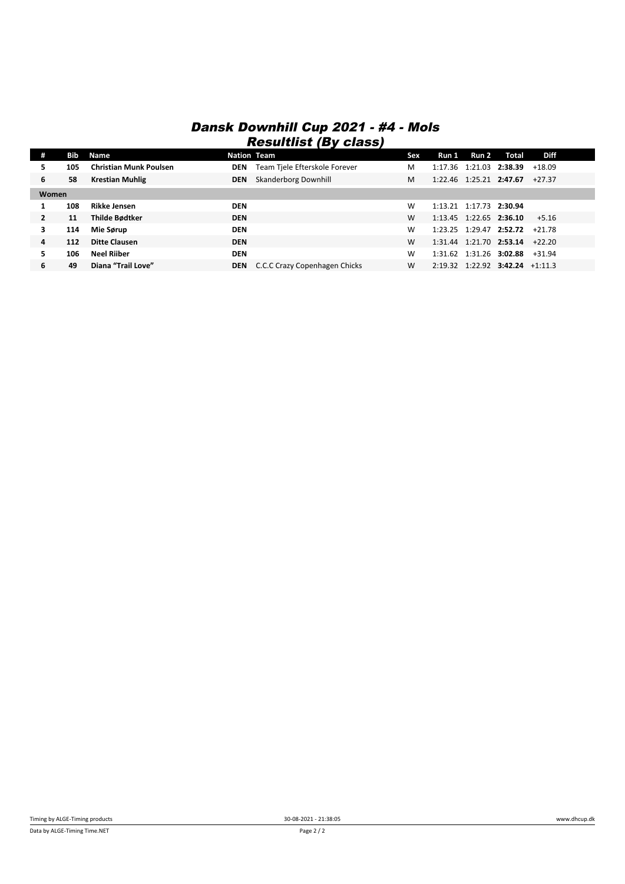## *Dansk Downhill Cup 2021 - #4 - Mols Resultlist (By class)*

| #              | Bib | Name                          | <b>Nation Team</b> |                               | Sex | Run 1 | Run 2                   | Total                                       | <b>Diff</b> |  |
|----------------|-----|-------------------------------|--------------------|-------------------------------|-----|-------|-------------------------|---------------------------------------------|-------------|--|
| 5              | 105 | <b>Christian Munk Poulsen</b> | <b>DEN</b>         | Team Tiele Efterskole Forever | M   |       |                         | 1:17.36 1:21.03 2:38.39                     | $+18.09$    |  |
| 6              | 58  | <b>Krestian Muhlig</b>        | <b>DEN</b>         | <b>Skanderborg Downhill</b>   | M   |       | 1:22.46 1:25.21 2:47.67 |                                             | $+27.37$    |  |
| Women          |     |                               |                    |                               |     |       |                         |                                             |             |  |
|                | 108 | Rikke Jensen                  | <b>DEN</b>         |                               | W   |       | 1:13.21 1:17.73 2:30.94 |                                             |             |  |
| $\overline{2}$ | 11  | Thilde Bødtker                | <b>DEN</b>         |                               | W   |       |                         | 1:13.45 1:22.65 2:36.10                     | $+5.16$     |  |
| 3              | 114 | Mie Sørup                     | <b>DEN</b>         |                               | W   |       |                         | $1:23.25$ $1:29.47$ <b>2:52.72</b> $+21.78$ |             |  |
| 4              | 112 | <b>Ditte Clausen</b>          | <b>DEN</b>         |                               | W   |       |                         | $1:31.44$ $1:21.70$ <b>2:53.14</b> $+22.20$ |             |  |
| 5              | 106 | <b>Neel Riiber</b>            | <b>DEN</b>         |                               | W   |       |                         | 1:31.62 1:31.26 3:02.88 +31.94              |             |  |
| 6              | 49  | Diana "Trail Love"            | <b>DEN</b>         | C.C.C Crazy Copenhagen Chicks | W   |       |                         | 2:19.32 1:22.92 3:42.24 +1:11.3             |             |  |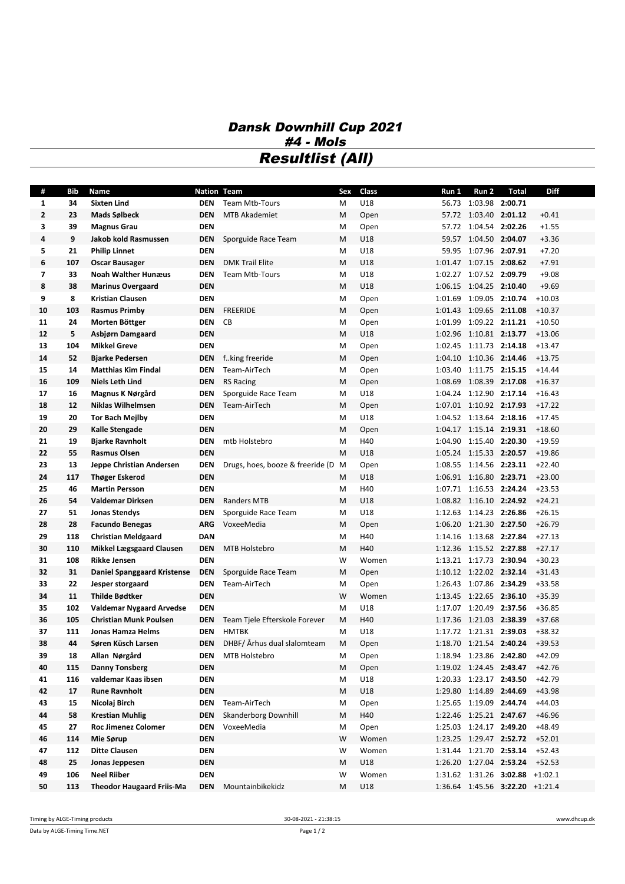## *Dansk Downhill Cup 2021 #4 - Mols Resultlist (All)*

| #            | Bib | Name                               | Nation Team |                                  | Sex | Class | Run 1   | Run 2                   | <b>Total</b>                    | <b>Diff</b> |
|--------------|-----|------------------------------------|-------------|----------------------------------|-----|-------|---------|-------------------------|---------------------------------|-------------|
| $\mathbf{1}$ | 34  | <b>Sixten Lind</b>                 | DEN         | Team Mtb-Tours                   | М   | U18   |         | 56.73 1:03.98 2:00.71   |                                 |             |
| $\mathbf{2}$ | 23  | Mads Sølbeck                       | <b>DEN</b>  | <b>MTB Akademiet</b>             | M   | Open  |         | 57.72 1:03.40 2:01.12   |                                 | $+0.41$     |
| 3            | 39  | <b>Magnus Grau</b>                 | <b>DEN</b>  |                                  | М   | Open  |         | 57.72 1:04.54 2:02.26   |                                 | $+1.55$     |
| 4            | 9   | Jakob kold Rasmussen               | <b>DEN</b>  | Sporguide Race Team              | M   | U18   |         | 59.57 1:04.50 2:04.07   |                                 | $+3.36$     |
| 5            | 21  | <b>Philip Linnet</b>               | <b>DEN</b>  |                                  | M   | U18   |         | 59.95 1:07.96 2:07.91   |                                 | $+7.20$     |
| 6            | 107 | Oscar Bausager                     | <b>DEN</b>  | <b>DMK Trail Elite</b>           | M   | U18   |         | 1:01.47 1:07.15 2:08.62 |                                 | $+7.91$     |
| 7            | 33  | <b>Noah Walther Hunæus</b>         | <b>DEN</b>  | <b>Team Mtb-Tours</b>            | M   | U18   |         | 1:02.27 1:07.52 2:09.79 |                                 | $+9.08$     |
| 8            | 38  | <b>Marinus Overgaard</b>           | <b>DEN</b>  |                                  | M   | U18   |         | 1:06.15 1:04.25 2:10.40 |                                 | $+9.69$     |
| 9            | 8   | <b>Kristian Clausen</b>            | <b>DEN</b>  |                                  | M   | Open  |         | 1:01.69 1:09.05 2:10.74 |                                 | $+10.03$    |
| 10           | 103 | <b>Rasmus Primby</b>               | DEN         | <b>FREERIDE</b>                  | M   | Open  |         | 1:01.43 1:09.65 2:11.08 |                                 | $+10.37$    |
| 11           | 24  | Morten Böttger                     | <b>DEN</b>  | CB                               | M   | Open  | 1:01.99 | 1:09.22 2:11.21         |                                 | $+10.50$    |
| 12           | 5   | Asbjørn Damgaard                   | <b>DEN</b>  |                                  | M   | U18   | 1:02.96 | 1:10.81 2:13.77         |                                 | $+13.06$    |
| 13           | 104 | <b>Mikkel Greve</b>                | <b>DEN</b>  |                                  | M   | Open  |         | 1:02.45 1:11.73 2:14.18 |                                 | $+13.47$    |
| 14           | 52  | <b>Bjarke Pedersen</b>             | <b>DEN</b>  | fking freeride                   | M   | Open  |         | 1:04.10 1:10.36 2:14.46 |                                 | $+13.75$    |
| 15           | 14  | <b>Matthias Kim Findal</b>         | DEN         | Team-AirTech                     | M   | Open  |         | 1:03.40 1:11.75 2:15.15 |                                 | $+14.44$    |
| 16           | 109 | <b>Niels Leth Lind</b>             | <b>DEN</b>  | <b>RS Racing</b>                 | М   | Open  |         | 1:08.69 1:08.39 2:17.08 |                                 | $+16.37$    |
| 17           | 16  | Magnus K Nørgård                   | DEN         | Sporguide Race Team              | м   | U18   |         | 1:04.24 1:12.90 2:17.14 |                                 | $+16.43$    |
| 18           | 12  | <b>Niklas Wilhelmsen</b>           | <b>DEN</b>  | Team-AirTech                     | М   | Open  |         | 1:07.01 1:10.92 2:17.93 |                                 | $+17.22$    |
| 19           | 20  | <b>Tor Bach Mejlby</b>             | <b>DEN</b>  |                                  | M   | U18   |         | 1:04.52 1:13.64 2:18.16 |                                 | $+17.45$    |
| 20           | 29  | Kalle Stengade                     | <b>DEN</b>  |                                  | M   | Open  |         | 1:04.17 1:15.14 2:19.31 |                                 | $+18.60$    |
| 21           | 19  | <b>Bjarke Ravnholt</b>             | <b>DEN</b>  | mtb Holstebro                    | М   | H40   |         | 1:04.90 1:15.40 2:20.30 |                                 | $+19.59$    |
| 22           | 55  | <b>Rasmus Olsen</b>                | <b>DEN</b>  |                                  | M   | U18   |         | 1:05.24 1:15.33 2:20.57 |                                 | $+19.86$    |
| 23           | 13  | Jeppe Christian Andersen           | <b>DEN</b>  | Drugs, hoes, booze & freeride (D | M   | Open  |         | 1:08.55 1:14.56 2:23.11 |                                 | $+22.40$    |
| 24           | 117 | <b>Thøger Eskerod</b>              | <b>DEN</b>  |                                  | M   | U18   |         | 1:06.91 1:16.80 2:23.71 |                                 | $+23.00$    |
| 25           | 46  | <b>Martin Persson</b>              | <b>DEN</b>  |                                  | M   | H40   |         | 1:07.71 1:16.53 2:24.24 |                                 | $+23.53$    |
| 26           | 54  | Valdemar Dirksen                   | <b>DEN</b>  | <b>Randers MTB</b>               | M   | U18   |         | 1:08.82 1:16.10 2:24.92 |                                 | $+24.21$    |
| 27           | 51  | <b>Jonas Stendys</b>               | DEN         | Sporguide Race Team              | M   | U18   |         | 1:12.63 1:14.23 2:26.86 |                                 | $+26.15$    |
| 28           | 28  | <b>Facundo Benegas</b>             | ARG         | VoxeeMedia                       | M   | Open  |         | 1:06.20 1:21.30 2:27.50 |                                 | $+26.79$    |
| 29           | 118 | <b>Christian Meldgaard</b>         | <b>DAN</b>  |                                  | M   | H40   |         | 1:14.16 1:13.68 2:27.84 |                                 | $+27.13$    |
| 30           | 110 | <b>Mikkel Lægsgaard Clausen</b>    | DEN         | MTB Holstebro                    | M   | H40   |         | 1:12.36 1:15.52 2:27.88 |                                 | $+27.17$    |
| 31           | 108 | <b>Rikke Jensen</b>                | <b>DEN</b>  |                                  | W   | Women |         | 1:13.21 1:17.73 2:30.94 |                                 | $+30.23$    |
| 32           | 31  | <b>Daniel Spanggaard Kristense</b> | <b>DEN</b>  | Sporguide Race Team              | M   | Open  |         | 1:10.12 1:22.02 2:32.14 |                                 | $+31.43$    |
| 33           | 22  | Jesper storgaard                   | DEN         | Team-AirTech                     | M   | Open  |         | 1:26.43 1:07.86 2:34.29 |                                 | $+33.58$    |
| 34           | 11  | <b>Thilde Bødtker</b>              | <b>DEN</b>  |                                  | W   | Women |         | 1:13.45 1:22.65 2:36.10 |                                 | $+35.39$    |
| 35           | 102 | <b>Valdemar Nygaard Arvedse</b>    | <b>DEN</b>  |                                  | М   | U18   |         | 1:17.07 1:20.49 2:37.56 |                                 | $+36.85$    |
| 36           | 105 | <b>Christian Munk Poulsen</b>      | DEN         | Team Tiele Efterskole Forever    | М   | H40   |         | 1:17.36 1:21.03 2:38.39 |                                 | $+37.68$    |
| 37           | 111 | <b>Jonas Hamza Helms</b>           | <b>DEN</b>  | <b>HMTBK</b>                     | M   | U18   |         | 1:17.72 1:21.31 2:39.03 |                                 | $+38.32$    |
| 38           | 44  | Søren Küsch Larsen                 | <b>DEN</b>  | DHBF/ Århus dual slalomteam      | M   | Open  |         | 1:18.70 1:21.54 2:40.24 |                                 | +39.53      |
| 39           | 18  | Allan Nørgård                      |             | <b>DEN</b> MTB Holstebro         | М   | Open  |         |                         | 1:18.94 1:23.86 2:42.80 +42.09  |             |
| 40           | 115 | <b>Danny Tonsberg</b>              | DEN         |                                  | M   | Open  |         | 1:19.02 1:24.45 2:43.47 |                                 | $+42.76$    |
| 41           | 116 | valdemar Kaas ibsen                | <b>DEN</b>  |                                  | М   | U18   |         | 1:20.33 1:23.17 2:43.50 |                                 | $+42.79$    |
| 42           | 17  | <b>Rune Ravnholt</b>               | <b>DEN</b>  |                                  | M   | U18   |         | 1:29.80 1:14.89 2:44.69 |                                 | $+43.98$    |
| 43           | 15  | Nicolaj Birch                      | DEN         | Team-AirTech                     | м   | Open  |         | 1:25.65 1:19.09 2:44.74 |                                 | $+44.03$    |
| 44           | 58  | <b>Krestian Muhlig</b>             | <b>DEN</b>  | <b>Skanderborg Downhill</b>      | М   | H40   |         | 1:22.46 1:25.21 2:47.67 |                                 | $+46.96$    |
| 45           | 27  | Roc Jimenez Colomer                | DEN         | VoxeeMedia                       | M   | Open  |         | 1:25.03 1:24.17 2:49.20 |                                 | $+48.49$    |
| 46           | 114 | Mie Sørup                          | DEN         |                                  | W   | Women |         |                         | 1:23.25 1:29.47 2:52.72 +52.01  |             |
| 47           | 112 | <b>Ditte Clausen</b>               | DEN         |                                  | W   | Women |         | 1:31.44 1:21.70 2:53.14 |                                 | +52.43      |
| 48           | 25  | Jonas Jeppesen                     | <b>DEN</b>  |                                  | M   | U18   |         |                         | 1:26.20 1:27.04 2:53.24 +52.53  |             |
| 49           | 106 | <b>Neel Riiber</b>                 | <b>DEN</b>  |                                  | W   | Women |         |                         | 1:31.62 1:31.26 3:02.88 +1:02.1 |             |
| 50           | 113 | <b>Theodor Haugaard Friis-Ma</b>   | DEN         | Mountainbikekidz                 | M   | U18   |         |                         | 1:36.64 1:45.56 3:22.20 +1:21.4 |             |

Data by ALGE-Timing Time.NET Page 1 / 2